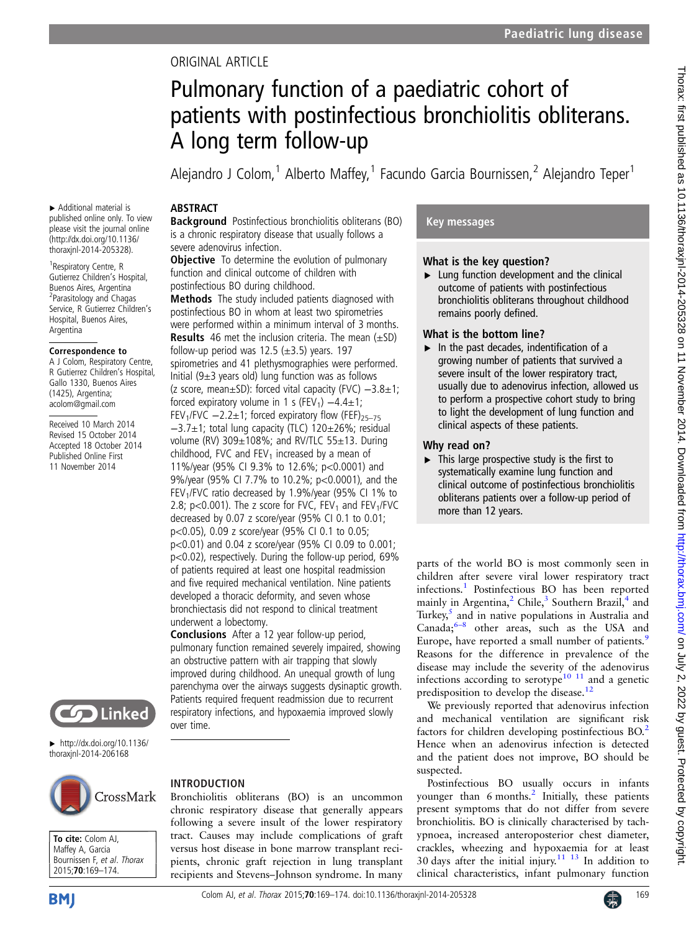# ORIGINAL ARTICLE

# Pulmonary function of a paediatric cohort of patients with postinfectious bronchiolitis obliterans. A long term follow-up

Alejandro J Colom,<sup>1</sup> Alberto Maffey,<sup>1</sup> Facundo Garcia Bournissen,<sup>2</sup> Alejandro Teper<sup>1</sup>

### ABSTRACT

▸ Additional material is published online only. To view please visit the journal online [\(http://dx.doi.org/10.1136/](http://dx.doi.org/10.1136/thoraxjnl-2014-205328) [thoraxjnl-2014-205328\)](http://dx.doi.org/10.1136/thoraxjnl-2014-205328). <sup>1</sup> Respiratory Centre, R Gutierrez Children's Hospital, Buenos Aires, Argentina <sup>2</sup> Parasitology and Chagas Service, R Gutierrez Children's Hospital, Buenos Aires,

Argentina

Correspondence to A J Colom, Respiratory Centre, R Gutierrez Children's Hospital, Gallo 1330, Buenos Aires (1425), Argentina; acolom@gmail.com Received 10 March 2014 Revised 15 October 2014 Accepted 18 October 2014 Published Online First 11 November 2014

Background Postinfectious bronchiolitis obliterans (BO) is a chronic respiratory disease that usually follows a severe adenovirus infection.

**Objective** To determine the evolution of pulmonary function and clinical outcome of children with postinfectious BO during childhood.

Methods The study included patients diagnosed with postinfectious BO in whom at least two spirometries were performed within a minimum interval of 3 months. **Results** 46 met the inclusion criteria. The mean  $(\pm SD)$ follow-up period was 12.5  $(\pm 3.5)$  years. 197 spirometries and 41 plethysmographies were performed. Initial ( $9±3$  years old) lung function was as follows (z score, mean±SD): forced vital capacity (FVC) −3.8±1; forced expiratory volume in 1 s (FEV<sub>1</sub>)  $-4.4\pm1$ ; FEV<sub>1</sub>/FVC  $-2.2\pm1$ ; forced expiratory flow (FEF)<sub>25–75</sub> −3.7±1; total lung capacity (TLC) 120±26%; residual volume (RV) 309±108%; and RV/TLC 55±13. During childhood, FVC and  $FEV<sub>1</sub>$  increased by a mean of 11%/year (95% CI 9.3% to 12.6%; p<0.0001) and 9%/year (95% CI 7.7% to 10.2%; p<0.0001), and the FEV1/FVC ratio decreased by 1.9%/year (95% CI 1% to 2.8; p<0.001). The z score for FVC,  $FEV_1$  and  $FEV_1/FVC$ decreased by 0.07 z score/year (95% CI 0.1 to 0.01; p<0.05), 0.09 z score/year (95% CI 0.1 to 0.05; p<0.01) and 0.04 z score/year (95% CI 0.09 to 0.001; p<0.02), respectively. During the follow-up period, 69% of patients required at least one hospital readmission and five required mechanical ventilation. Nine patients developed a thoracic deformity, and seven whose bronchiectasis did not respond to clinical treatment underwent a lobectomy.

Conclusions After a 12 year follow-up period, pulmonary function remained severely impaired, showing an obstructive pattern with air trapping that slowly improved during childhood. An unequal growth of lung parenchyma over the airways suggests dysinaptic growth. Patients required frequent readmission due to recurrent respiratory infections, and hypoxaemia improved slowly over time.



 $\blacktriangleright$  [http://dx.doi.org/10.1136/](http://dx.doi.org/10.1136/thoraxjnl-2014-206168) [thoraxjnl-2014-206168](http://dx.doi.org/10.1136/thoraxjnl-2014-206168)



#### To cite: Colom AJ, Maffey A, Garcia Bournissen F, et al. Thorax 2015;70:169–174.

# Colom AJ, et al. Thorax 2015;**70**:169–174. doi:10.1136/thoraxjnl-2014-205328

# INTRODUCTION

Bronchiolitis obliterans (BO) is an uncommon chronic respiratory disease that generally appears following a severe insult of the lower respiratory tract. Causes may include complications of graft versus host disease in bone marrow transplant recipients, chronic graft rejection in lung transplant recipients and Stevens–Johnson syndrome. In many

## Key messages

#### What is the key question?

 $\blacktriangleright$  Lung function development and the clinical outcome of patients with postinfectious bronchiolitis obliterans throughout childhood remains poorly defined.

#### What is the bottom line?

 $\blacktriangleright$  In the past decades, indentification of a growing number of patients that survived a severe insult of the lower respiratory tract, usually due to adenovirus infection, allowed us to perform a prospective cohort study to bring to light the development of lung function and clinical aspects of these patients.

#### Why read on?

 $\triangleright$  This large prospective study is the first to systematically examine lung function and clinical outcome of postinfectious bronchiolitis obliterans patients over a follow-up period of more than 12 years.

parts of the world BO is most commonly seen in children after severe viral lower respiratory tract infections.[1](#page-5-0) Postinfectious BO has been reported mainly in Argentina,<sup>[2](#page-5-0)</sup> Chile,<sup>[3](#page-5-0)</sup> Southern Brazil,<sup>[4](#page-5-0)</sup> and Turkey, $5$  and in native populations in Australia and Canada; $6-8$  $6-8$  other areas, such as the USA and Europe, have reported a small number of patients.<sup>[9](#page-5-0)</sup> Reasons for the difference in prevalence of the disease may include the severity of the adenovirus infections according to serotype<sup>[10 11](#page-5-0)</sup> and a genetic predisposition to develop the disease.<sup>[12](#page-5-0)</sup>

We previously reported that adenovirus infection and mechanical ventilation are significant risk factors for children developing postinfectious  $BO<sup>2</sup>$  $BO<sup>2</sup>$  $BO<sup>2</sup>$ Hence when an adenovirus infection is detected and the patient does not improve, BO should be suspected.

Postinfectious BO usually occurs in infants younger than  $6$  months.<sup>[2](#page-5-0)</sup> Initially, these patients present symptoms that do not differ from severe bronchiolitis. BO is clinically characterised by tachypnoea, increased anteroposterior chest diameter, crackles, wheezing and hypoxaemia for at least 30 days after the initial injury. $11$   $13$  In addition to clinical characteristics, infant pulmonary function

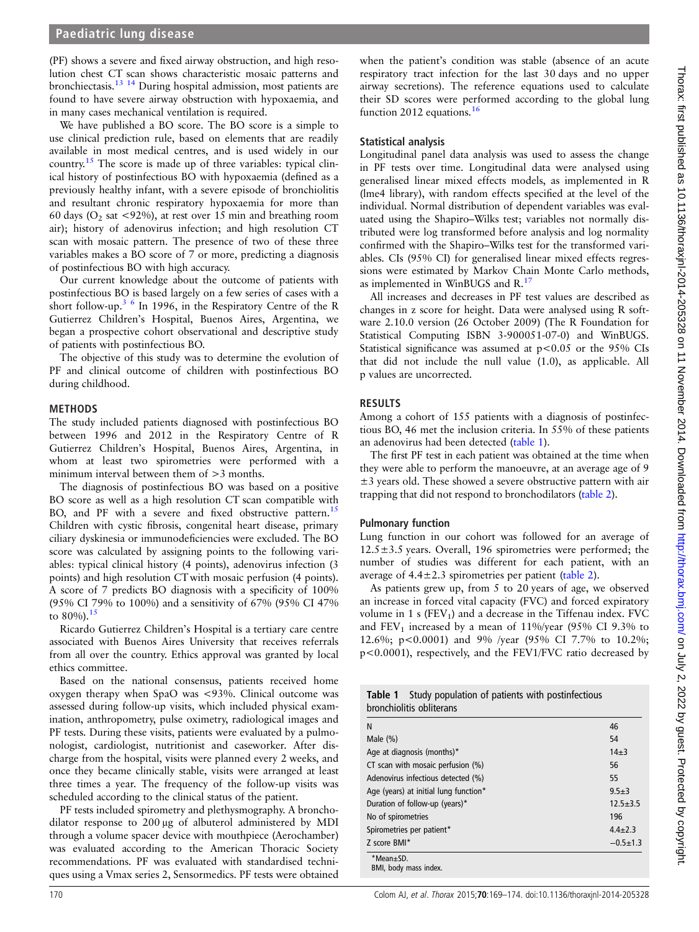(PF) shows a severe and fixed airway obstruction, and high resolution chest CT scan shows characteristic mosaic patterns and bronchiectasis.[13 14](#page-5-0) During hospital admission, most patients are found to have severe airway obstruction with hypoxaemia, and in many cases mechanical ventilation is required.

We have published a BO score. The BO score is a simple to use clinical prediction rule, based on elements that are readily available in most medical centres, and is used widely in our country.<sup>[15](#page-5-0)</sup> The score is made up of three variables: typical clinical history of postinfectious BO with hypoxaemia (defined as a previously healthy infant, with a severe episode of bronchiolitis and resultant chronic respiratory hypoxaemia for more than 60 days ( $O_2$  sat <92%), at rest over 15 min and breathing room air); history of adenovirus infection; and high resolution CT scan with mosaic pattern. The presence of two of these three variables makes a BO score of 7 or more, predicting a diagnosis of postinfectious BO with high accuracy.

Our current knowledge about the outcome of patients with postinfectious BO is based largely on a few series of cases with a short follow-up.<sup>[3 6](#page-5-0)</sup> In 1996, in the Respiratory Centre of the R Gutierrez Children's Hospital, Buenos Aires, Argentina, we began a prospective cohort observational and descriptive study of patients with postinfectious BO.

The objective of this study was to determine the evolution of PF and clinical outcome of children with postinfectious BO during childhood.

#### METHODS

The study included patients diagnosed with postinfectious BO between 1996 and 2012 in the Respiratory Centre of R Gutierrez Children's Hospital, Buenos Aires, Argentina, in whom at least two spirometries were performed with a minimum interval between them of  $>$ 3 months.

The diagnosis of postinfectious BO was based on a positive BO score as well as a high resolution CT scan compatible with BO, and PF with a severe and fixed obstructive pattern.<sup>15</sup> Children with cystic fibrosis, congenital heart disease, primary ciliary dyskinesia or immunodeficiencies were excluded. The BO score was calculated by assigning points to the following variables: typical clinical history (4 points), adenovirus infection (3 points) and high resolution CT with mosaic perfusion (4 points). A score of 7 predicts BO diagnosis with a specificity of 100% (95% CI 79% to 100%) and a sensitivity of 67% (95% CI 47% to  $80\%$ ).<sup>[15](#page-5-0)</sup>

Ricardo Gutierrez Children's Hospital is a tertiary care centre associated with Buenos Aires University that receives referrals from all over the country. Ethics approval was granted by local ethics committee.

Based on the national consensus, patients received home oxygen therapy when SpaO was <93%. Clinical outcome was assessed during follow-up visits, which included physical examination, anthropometry, pulse oximetry, radiological images and PF tests. During these visits, patients were evaluated by a pulmonologist, cardiologist, nutritionist and caseworker. After discharge from the hospital, visits were planned every 2 weeks, and once they became clinically stable, visits were arranged at least three times a year. The frequency of the follow-up visits was scheduled according to the clinical status of the patient.

PF tests included spirometry and plethysmography. A bronchodilator response to 200 μg of albuterol administered by MDI through a volume spacer device with mouthpiece (Aerochamber) was evaluated according to the American Thoracic Society recommendations. PF was evaluated with standardised techniques using a Vmax series 2, Sensormedics. PF tests were obtained

when the patient's condition was stable (absence of an acute respiratory tract infection for the last 30 days and no upper airway secretions). The reference equations used to calculate their SD scores were performed according to the global lung function 2012 equations.<sup>[16](#page-5-0)</sup>

#### Statistical analysis

Longitudinal panel data analysis was used to assess the change in PF tests over time. Longitudinal data were analysed using generalised linear mixed effects models, as implemented in R (lme4 library), with random effects specified at the level of the individual. Normal distribution of dependent variables was evaluated using the Shapiro–Wilks test; variables not normally distributed were log transformed before analysis and log normality confirmed with the Shapiro–Wilks test for the transformed variables. CIs (95% CI) for generalised linear mixed effects regressions were estimated by Markov Chain Monte Carlo methods, as implemented in WinBUGS and R.<sup>1</sup>

All increases and decreases in PF test values are described as changes in z score for height. Data were analysed using R software 2.10.0 version (26 October 2009) (The R Foundation for Statistical Computing ISBN 3-900051-07-0) and WinBUGS. Statistical significance was assumed at  $p < 0.05$  or the 95% CIs that did not include the null value (1.0), as applicable. All p values are uncorrected.

#### RESULTS

Among a cohort of 155 patients with a diagnosis of postinfectious BO, 46 met the inclusion criteria. In 55% of these patients an adenovirus had been detected (table 1).

The first PF test in each patient was obtained at the time when they were able to perform the manoeuvre, at an average age of 9  $\pm$ 3 years old. These showed a severe obstructive pattern with air trapping that did not respond to bronchodilators ([table 2](#page-2-0)).

### Pulmonary function

Lung function in our cohort was followed for an average of  $12.5\pm3.5$  years. Overall, 196 spirometries were performed; the number of studies was different for each patient, with an average of  $4.4 \pm 2.3$  spirometries per patient (table 2).

As patients grew up, from 5 to 20 years of age, we observed an increase in forced vital capacity (FVC) and forced expiratory volume in 1 s ( $FEV<sub>1</sub>$ ) and a decrease in the Tiffenau index. FVC and  $FEV_1$  increased by a mean of 11%/year (95% CI 9.3% to 12.6%; p<0.0001) and 9% /year (95% CI 7.7% to 10.2%; p<0.0001), respectively, and the FEV1/FVC ratio decreased by

| <b>Table 1</b> Study population of patients with postinfectious |
|-----------------------------------------------------------------|
| bronchiolitis obliterans                                        |

| N                                     | 46            |
|---------------------------------------|---------------|
| Male $(\%)$                           | 54            |
| Age at diagnosis (months)*            | $14 + 3$      |
| CT scan with mosaic perfusion (%)     | 56            |
| Adenovirus infectious detected (%)    | 55            |
| Age (years) at initial lung function* | $9.5 + 3$     |
| Duration of follow-up (years)*        | $12.5 + 3.5$  |
| No of spirometries                    | 196           |
| Spirometries per patient*             | $4.4 \pm 2.3$ |
| Z score BMI*                          | $-0.5+1.3$    |
| *Mean+SD.<br>BMI, body mass index.    |               |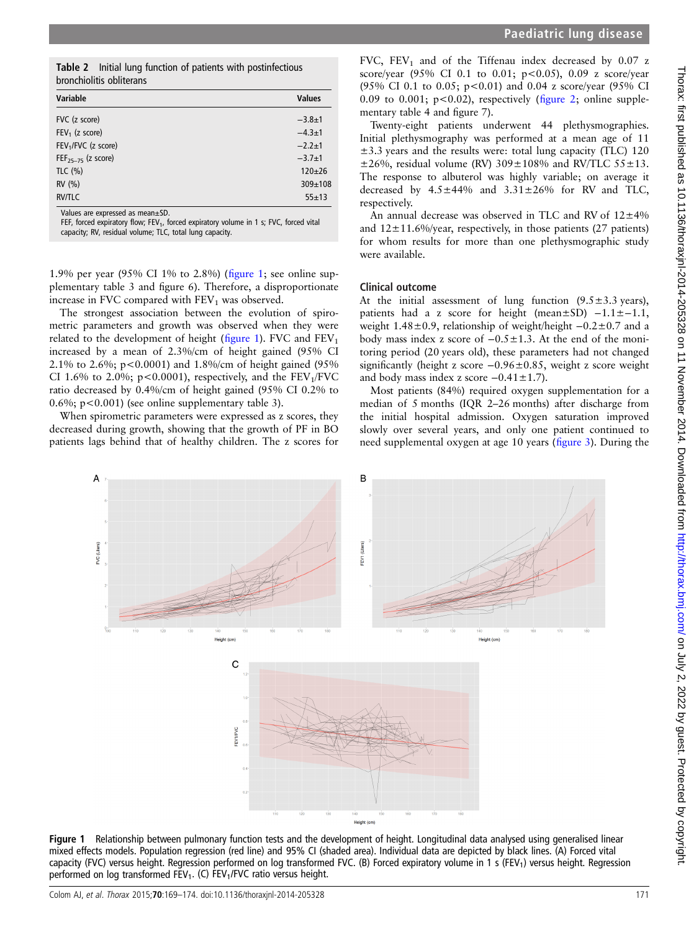|                                                                                                                      | score/year (95% CI 0.1                                                                                                                                                                                                                                                                                                          |
|----------------------------------------------------------------------------------------------------------------------|---------------------------------------------------------------------------------------------------------------------------------------------------------------------------------------------------------------------------------------------------------------------------------------------------------------------------------|
|                                                                                                                      | (95% CI 0.1 to 0.05; p                                                                                                                                                                                                                                                                                                          |
| alues<br>$3.8 \pm 1$<br>$4.3 + 1$<br>$2.2 + 1$<br>$3.7 + 1$<br>$120 + 26$<br>309±108<br>$55 + 13$<br>d vital         | 0.09 to 0.001; $p<0.02$ )<br>mentary table 4 and figu<br>Twenty-eight patient<br>Initial plethysmography<br>$\pm$ 3.3 years and the resu<br>±26%, residual volume<br>The response to albute<br>decreased by $4.5 \pm 44\%$<br>respectively.<br>An annual decrease w<br>and $12 \pm 11.6\%$ /year, res<br>for whom results for n |
|                                                                                                                      | were available.                                                                                                                                                                                                                                                                                                                 |
| ine sup-<br>rtionate<br>f spiro-<br>ey were<br>$1d$ FEV <sub>1</sub><br>95% CI<br>ed (95%<br>$V_1/FVC$<br>$0.2\%$ to | <b>Clinical outcome</b><br>At the initial assessme<br>patients had a z score<br>weight $1.48 \pm 0.9$ , relatio<br>body mass index z score<br>toring period (20 years<br>significantly (height z sc<br>and body mass index z s<br>Most patients (84%)<br>median of 5 months (IO                                                 |
| res, they<br>F in BO<br>ores for                                                                                     | the initial hospital adı<br>slowly over several year<br>need supplemental oxyg                                                                                                                                                                                                                                                  |

<span id="page-2-0"></span>Table 2 Initial lung function of patients with postinfectious bronchiolitis obliterans

| Variable                        | <b>Values</b> |
|---------------------------------|---------------|
| FVC (z score)                   | $-3.8 \pm 1$  |
| $FEV1$ (z score)                | $-4.3 \pm 1$  |
| FEV <sub>1</sub> /FVC (z score) | $-2.2+1$      |
| $FEF_{25-75}$ (z score)         | $-3.7+1$      |
| TLC $(\% )$                     | $120+26$      |
| RV (%)                          | $309 + 108$   |
| <b>RV/TLC</b>                   | $55 + 13$     |

Values are expressed as mean±SD.

FEF, forced expiratory flow; FEV<sub>1</sub>, forced expiratory volume in 1 s; FVC, force capacity; RV, residual volume; TLC, total lung capacity.

1.9% per year (95% CI 1% to 2.8%) (figure 1; see onl plementary table 3 and figure 6). Therefore, a disproportional increase in FVC compared with  $FEV<sub>1</sub>$  was observed.

The strongest association between the evolution of metric parameters and growth was observed when the related to the development of height (figure 1). FVC and increased by a mean of  $2.3\%$ /cm of height gained (95%) 2.1% to 2.6%; p<0.0001) and 1.8%/cm of height gained CI 1.6% to 2.0%; p<0.0001), respectively, and the FE ratio decreased by  $0.4\%$ /cm of height gained (95% CI 0.6%; p<0.001) (see online supplementary table 3).

When spirometric parameters were expressed as z score decreased during growth, showing that the growth of P patients lags behind that of healthy children. The z sc FVC,  $FEV_1$  and of the Tiffenau index decreased by 0.07 z to 0.01;  $p < 0.05$ ), 0.09 z score/year  $(95\% \text{ CI})$  and 0.04 z score/year (95% CI) ), respectively (fi[gure 2;](#page-3-0) online supplere 7).

s underwent 44 plethysmographies. was performed at a mean age of 11 lts were: total lung capacity (TLC) 120 (RV)  $309 \pm 108\%$  and RV/TLC  $55 \pm 13$ . rol was highly variable; on average it  $6$  and  $3.31\pm26\%$  for RV and TLC,

as observed in TLC and RV of  $12\pm4\%$ pectively, in those patients (27 patients) nore than one plethysmographic study

ent of lung function  $(9.5\pm3.3 \text{ years})$ , for height (mean $\pm$ SD) −1.1 $\pm$ −1.1, weight 1.48±0.9, relationship of weight/height −0.2±0.7 and a of  $-0.5 \pm 1.3$ . At the end of the moniold), these parameters had not changed ore −0.96±0.85, weight z score weight core  $-0.41 \pm 1.7$ ).

required oxygen supplementation for a QR 2–26 months) after discharge from mission. Oxygen saturation improved rs, and only one patient continued to en at age 10 years (fi[gure 3](#page-3-0)). During the



Figure 1 Relationship between pulmonary function tests and the development of height. Longitudinal data analysed using generalised linear mixed effects models. Population regression (red line) and 95% CI (shaded area). Individual data are depicted by black lines. (A) Forced vital capacity (FVC) versus height. Regression performed on log transformed FVC. (B) Forced expiratory volume in 1 s (FEV<sub>1</sub>) versus height. Regression performed on log transformed  $FEV_1$ . (C)  $FEV_1/FCC$  ratio versus height.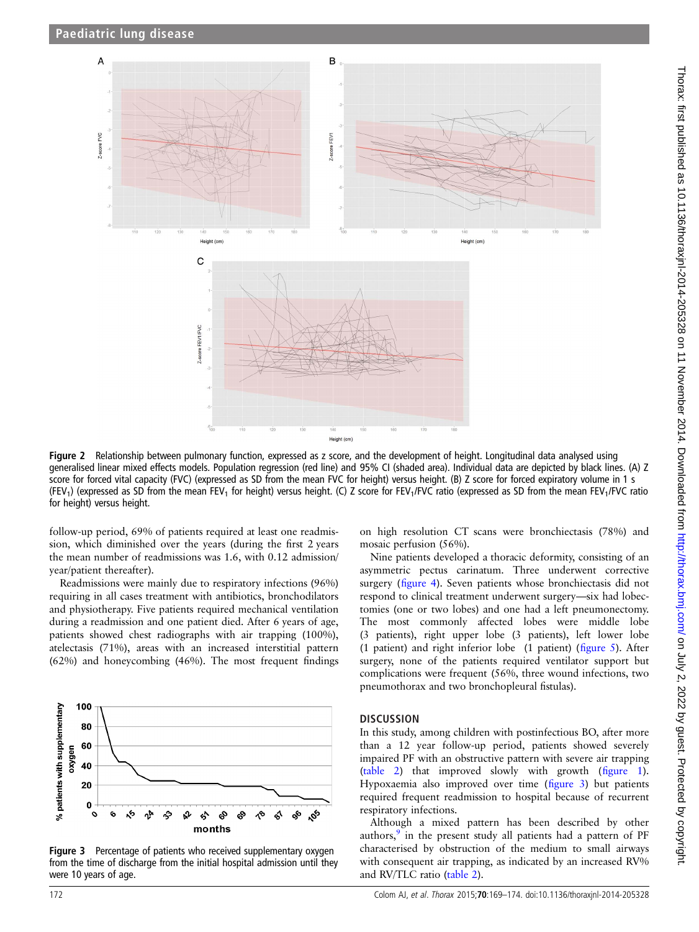<span id="page-3-0"></span>

Figure 2 Relationship between pulmonary function, expressed as z score, and the development of height. Longitudinal data analysed using generalised linear mixed effects models. Population regression (red line) and 95% CI (shaded area). Individual data are depicted by black lines. (A) Z score for forced vital capacity (FVC) (expressed as SD from the mean FVC for height) versus height. (B) Z score for forced expiratory volume in 1 s (FEV<sub>1</sub>) (expressed as SD from the mean FEV<sub>1</sub> for height) versus height. (C) Z score for FEV<sub>1</sub>/FVC ratio (expressed as SD from the mean FEV<sub>1</sub>/FVC ratio for height) versus height.

follow-up period, 69% of patients required at least one readmission, which diminished over the years (during the first 2 years the mean number of readmissions was 1.6, with 0.12 admission/ year/patient thereafter).

Readmissions were mainly due to respiratory infections (96%) requiring in all cases treatment with antibiotics, bronchodilators and physiotherapy. Five patients required mechanical ventilation during a readmission and one patient died. After 6 years of age, patients showed chest radiographs with air trapping (100%), atelectasis (71%), areas with an increased interstitial pattern (62%) and honeycombing (46%). The most frequent findings



Figure 3 Percentage of patients who received supplementary oxygen from the time of discharge from the initial hospital admission until they were 10 years of age.

on high resolution CT scans were bronchiectasis (78%) and mosaic perfusion (56%).

Nine patients developed a thoracic deformity, consisting of an asymmetric pectus carinatum. Three underwent corrective surgery (fi[gure 4](#page-4-0)). Seven patients whose bronchiectasis did not respond to clinical treatment underwent surgery—six had lobectomies (one or two lobes) and one had a left pneumonectomy. The most commonly affected lobes were middle lobe (3 patients), right upper lobe (3 patients), left lower lobe (1 patient) and right inferior lobe (1 patient) (fi[gure 5\)](#page-4-0). After surgery, none of the patients required ventilator support but complications were frequent (56%, three wound infections, two pneumothorax and two bronchopleural fistulas).

#### **DISCUSSION**

In this study, among children with postinfectious BO, after more than a 12 year follow-up period, patients showed severely impaired PF with an obstructive pattern with severe air trapping ([table 2\)](#page-2-0) that improved slowly with growth (fi[gure 1\)](#page-2-0). Hypoxaemia also improved over time (figure 3) but patients required frequent readmission to hospital because of recurrent respiratory infections.

Although a mixed pattern has been described by other authors, $9$  in the present study all patients had a pattern of PF characterised by obstruction of the medium to small airways with consequent air trapping, as indicated by an increased RV% and RV/TLC ratio [\(table 2\)](#page-2-0).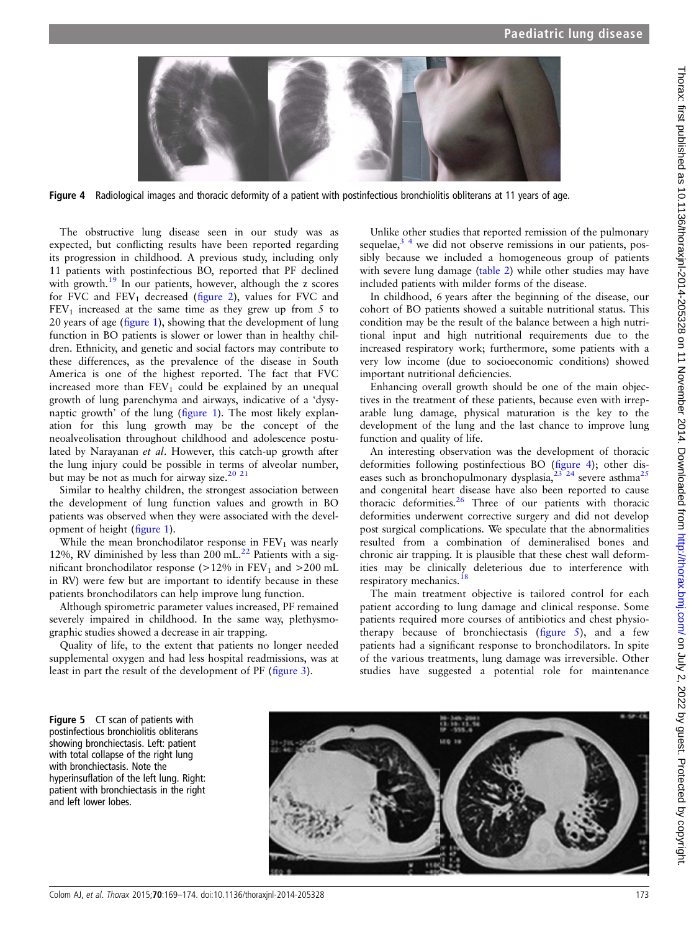<span id="page-4-0"></span>

Figure 4 Radiological images and thoracic deformity of a patient with postinfectious bronchiolitis obliterans at 11 years of age.

The obstructive lung disease seen in our study was as expected, but conflicting results have been reported regarding its progression in childhood. A previous study, including only 11 patients with postinfectious BO, reported that PF declined with growth.<sup>19</sup> In our patients, however, although the z scores for FVC and  $FEV_1$  decreased (fi[gure 2](#page-3-0)), values for FVC and  $FEV<sub>1</sub>$  increased at the same time as they grew up from 5 to 20 years of age (fi[gure 1\)](#page-2-0), showing that the development of lung function in BO patients is slower or lower than in healthy children. Ethnicity, and genetic and social factors may contribute to these differences, as the prevalence of the disease in South America is one of the highest reported. The fact that FVC increased more than  $FEV_1$  could be explained by an unequal growth of lung parenchyma and airways, indicative of a 'dysynaptic growth' of the lung (fi[gure 1\)](#page-2-0). The most likely explanation for this lung growth may be the concept of the neoalveolisation throughout childhood and adolescence postulated by Narayanan et al. However, this catch-up growth after the lung injury could be possible in terms of alveolar number, but may be not as much for airway size.<sup>20</sup><sup>21</sup>

Similar to healthy children, the strongest association between the development of lung function values and growth in BO patients was observed when they were associated with the development of height (fi[gure 1\)](#page-2-0).

While the mean bronchodilator response in  $FEV<sub>1</sub>$  was nearly 12%, RV diminished by less than 200 mL. $^{22}$  $^{22}$  $^{22}$  Patients with a significant bronchodilator response ( $>12\%$  in FEV<sub>1</sub> and  $>200$  mL in RV) were few but are important to identify because in these patients bronchodilators can help improve lung function.

Although spirometric parameter values increased, PF remained severely impaired in childhood. In the same way, plethysmographic studies showed a decrease in air trapping.

Quality of life, to the extent that patients no longer needed supplemental oxygen and had less hospital readmissions, was at least in part the result of the development of PF (fi[gure 3](#page-3-0)).

Unlike other studies that reported remission of the pulmonary sequelae, $3<sup>4</sup>$  we did not observe remissions in our patients, possibly because we included a homogeneous group of patients with severe lung damage [\(table 2\)](#page-2-0) while other studies may have included patients with milder forms of the disease.

In childhood, 6 years after the beginning of the disease, our cohort of BO patients showed a suitable nutritional status. This condition may be the result of the balance between a high nutritional input and high nutritional requirements due to the increased respiratory work; furthermore, some patients with a very low income (due to socioeconomic conditions) showed important nutritional deficiencies.

Enhancing overall growth should be one of the main objectives in the treatment of these patients, because even with irreparable lung damage, physical maturation is the key to the development of the lung and the last chance to improve lung function and quality of life.

An interesting observation was the development of thoracic deformities following postinfectious BO (figure 4); other diseases such as bronchopulmonary dysplasia,  $23^{23}$   $24$  severe asthma<sup>[25](#page-5-0)</sup> and congenital heart disease have also been reported to cause thoracic deformities.[26](#page-5-0) Three of our patients with thoracic deformities underwent corrective surgery and did not develop post surgical complications. We speculate that the abnormalities resulted from a combination of demineralised bones and chronic air trapping. It is plausible that these chest wall deformities may be clinically deleterious due to interference with respiratory mechanics.<sup>[18](#page-5-0)</sup>

The main treatment objective is tailored control for each patient according to lung damage and clinical response. Some patients required more courses of antibiotics and chest physiotherapy because of bronchiectasis (figure 5), and a few patients had a significant response to bronchodilators. In spite of the various treatments, lung damage was irreversible. Other studies have suggested a potential role for maintenance

Figure 5 CT scan of patients with postinfectious bronchiolitis obliterans showing bronchiectasis. Left: patient with total collapse of the right lung with bronchiectasis. Note the hyperinsuflation of the left lung. Right: patient with bronchiectasis in the right and left lower lobes.